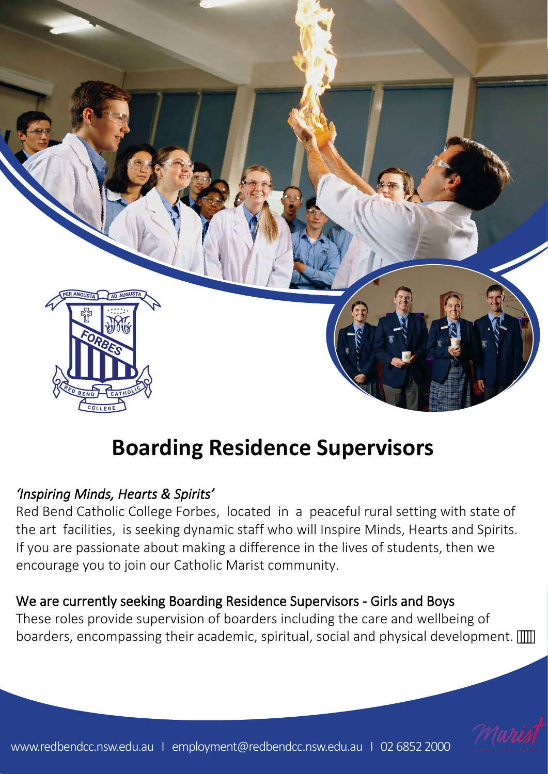

# **Boarding Residence Supervisors**

# *'Inspiring Minds, Hearts & Spirits'*

Red Bend Catholic College Forbes, located in a peaceful rural setting with state of the art facilities, is seeking dynamic staff who will Inspire Minds, Hearts and Spirits. If you are passionate about making a difference in the lives of students, then we encourage you to join our Catholic Marist community.

# We are currently seeking Boarding Residence Supervisors - Girls and Boys

These roles provide supervision of boarders including the care and wellbeing of boarders, encompassing their academic, spiritual, social and physical development.

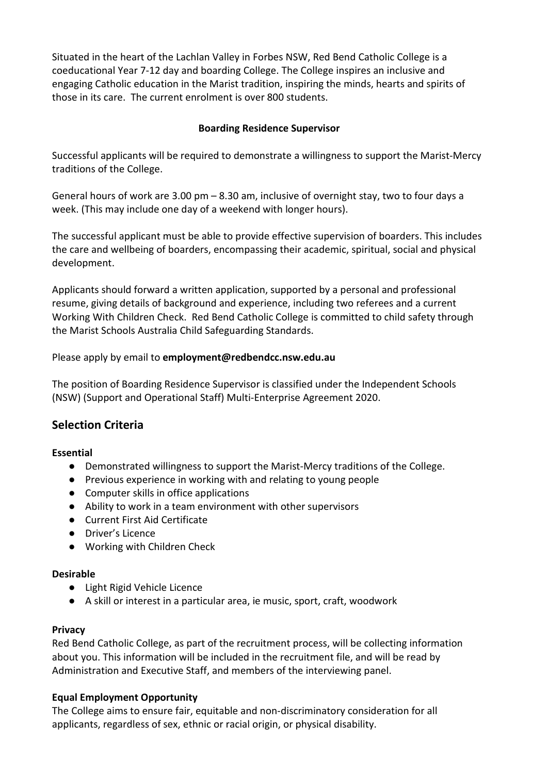Situated in the heart of the Lachlan Valley in Forbes NSW, Red Bend Catholic College is a coeducational Year 7-12 day and boarding College. The College inspires an inclusive and engaging Catholic education in the Marist tradition, inspiring the minds, hearts and spirits of those in its care. The current enrolment is over 800 students.

# **Boarding Residence Supervisor**

Successful applicants will be required to demonstrate a willingness to support the Marist-Mercy traditions of the College.

General hours of work are 3.00 pm – 8.30 am, inclusive of overnight stay, two to four days a week. (This may include one day of a weekend with longer hours).

The successful applicant must be able to provide effective supervision of boarders. This includes the care and wellbeing of boarders, encompassing their academic, spiritual, social and physical development.

Applicants should forward a written application, supported by a personal and professional resume, giving details of background and experience, including two referees and a current Working With Children Check. Red Bend Catholic College is committed to child safety through the Marist Schools Australia Child Safeguarding Standards.

Please apply by email to **employmen[t@redbendcc.nsw.edu.au](mailto:principal@redbendcc.nsw.edu.au)**

The position of Boarding Residence Supervisor is classified under the Independent Schools (NSW) (Support and Operational Staff) Multi-Enterprise Agreement 2020.

# **Selection Criteria**

## **Essential**

- Demonstrated willingness to support the Marist-Mercy traditions of the College.
- Previous experience in working with and relating to young people
- Computer skills in office applications
- Ability to work in a team environment with other supervisors
- Current First Aid Certificate
- Driver's Licence
- Working with Children Check

#### **Desirable**

- Light Rigid Vehicle Licence
- A skill or interest in a particular area, ie music, sport, craft, woodwork

## **Privacy**

Red Bend Catholic College, as part of the recruitment process, will be collecting information about you. This information will be included in the recruitment file, and will be read by Administration and Executive Staff, and members of the interviewing panel.

## **Equal Employment Opportunity**

The College aims to ensure fair, equitable and non-discriminatory consideration for all applicants, regardless of sex, ethnic or racial origin, or physical disability.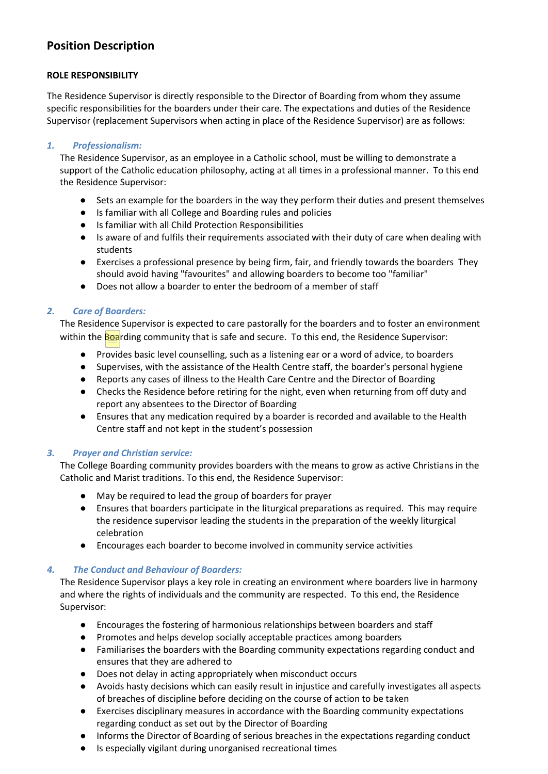# **Position Description**

#### **ROLE RESPONSIBILITY**

The Residence Supervisor is directly responsible to the Director of Boarding from whom they assume specific responsibilities for the boarders under their care. The expectations and duties of the Residence Supervisor (replacement Supervisors when acting in place of the Residence Supervisor) are as follows:

#### *1. Professionalism:*

The Residence Supervisor, as an employee in a Catholic school, must be willing to demonstrate a support of the Catholic education philosophy, acting at all times in a professional manner. To this end the Residence Supervisor:

- Sets an example for the boarders in the way they perform their duties and present themselves
- Is familiar with all College and Boarding rules and policies
- Is familiar with all Child Protection Responsibilities
- Is aware of and fulfils their requirements associated with their duty of care when dealing with students
- Exercises a professional presence by being firm, fair, and friendly towards the boarders They should avoid having "favourites" and allowing boarders to become too "familiar"
- Does not allow a boarder to enter the bedroom of a member of staff

#### *2. Care of Boarders:*

The Residence Supervisor is expected to care pastorally for the boarders and to foster an environment within the Boarding community that is safe and secure. To this end, the Residence Supervisor:

- Provides basic level counselling, such as a listening ear or a word of advice, to boarders
- Supervises, with the assistance of the Health Centre staff, the boarder's personal hygiene
- Reports any cases of illness to the Health Care Centre and the Director of Boarding
- Checks the Residence before retiring for the night, even when returning from off duty and report any absentees to the Director of Boarding
- Ensures that any medication required by a boarder is recorded and available to the Health Centre staff and not kept in the student's possession

#### *3. Prayer and Christian service:*

The College Boarding community provides boarders with the means to grow as active Christians in the Catholic and Marist traditions. To this end, the Residence Supervisor:

- May be required to lead the group of boarders for prayer
- Ensures that boarders participate in the liturgical preparations as required. This may require the residence supervisor leading the students in the preparation of the weekly liturgical celebration
- Encourages each boarder to become involved in community service activities

#### *4. The Conduct and Behaviour of Boarders:*

The Residence Supervisor plays a key role in creating an environment where boarders live in harmony and where the rights of individuals and the community are respected. To this end, the Residence Supervisor:

- Encourages the fostering of harmonious relationships between boarders and staff
- Promotes and helps develop socially acceptable practices among boarders
- Familiarises the boarders with the Boarding community expectations regarding conduct and ensures that they are adhered to
- Does not delay in acting appropriately when misconduct occurs
- Avoids hasty decisions which can easily result in injustice and carefully investigates all aspects of breaches of discipline before deciding on the course of action to be taken
- Exercises disciplinary measures in accordance with the Boarding community expectations regarding conduct as set out by the Director of Boarding
- Informs the Director of Boarding of serious breaches in the expectations regarding conduct
- Is especially vigilant during unorganised recreational times